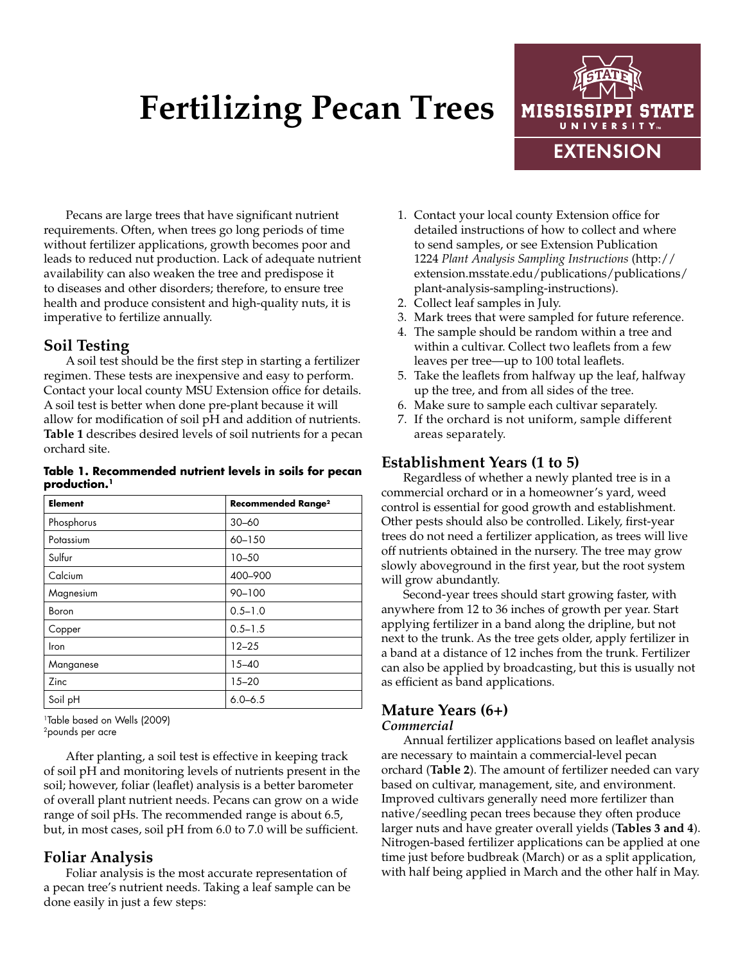# **Fertilizing Pecan Trees**



Pecans are large trees that have significant nutrient requirements. Often, when trees go long periods of time without fertilizer applications, growth becomes poor and leads to reduced nut production. Lack of adequate nutrient availability can also weaken the tree and predispose it to diseases and other disorders; therefore, to ensure tree health and produce consistent and high-quality nuts, it is imperative to fertilize annually.

# **Soil Testing**

A soil test should be the first step in starting a fertilizer regimen. These tests are inexpensive and easy to perform. Contact your local county MSU Extension office for details. A soil test is better when done pre-plant because it will allow for modification of soil pH and addition of nutrients. **Table 1** describes desired levels of soil nutrients for a pecan orchard site.

#### **Table 1. Recommended nutrient levels in soils for pecan production.1**

| <b>Element</b> | <b>Recommended Range<sup>2</sup></b> |
|----------------|--------------------------------------|
| Phosphorus     | $30 - 60$                            |
| Potassium      | 60-150                               |
| Sulfur         | $10 - 50$                            |
| Calcium        | 400-900                              |
| Magnesium      | $90 - 100$                           |
| Boron          | $0.5 - 1.0$                          |
| Copper         | $0.5 - 1.5$                          |
| Iron           | $12 - 25$                            |
| Manganese      | $15 - 40$                            |
| Zinc           | $15 - 20$                            |
| Soil pH        | $6.0 - 6.5$                          |

1Table based on Wells (2009) 2pounds per acre

After planting, a soil test is effective in keeping track of soil pH and monitoring levels of nutrients present in the soil; however, foliar (leaflet) analysis is a better barometer of overall plant nutrient needs. Pecans can grow on a wide range of soil pHs. The recommended range is about 6.5, but, in most cases, soil pH from 6.0 to 7.0 will be sufficient.

# **Foliar Analysis**

Foliar analysis is the most accurate representation of a pecan tree's nutrient needs. Taking a leaf sample can be done easily in just a few steps:

- 1. Contact your local county Extension office for detailed instructions of how to collect and where to send samples, or see Extension Publication 1224 *Plant Analysis Sampling Instructions* ([http://](http://extension.msstate.edu/publications/publications/plant-analysis-sampling-instructions) [extension.msstate.edu/publications/publications/](http://extension.msstate.edu/publications/publications/plant-analysis-sampling-instructions) [plant-analysis-sampling-instructions\)](http://extension.msstate.edu/publications/publications/plant-analysis-sampling-instructions).
- 2. Collect leaf samples in July.
- 3. Mark trees that were sampled for future reference.
- 4. The sample should be random within a tree and within a cultivar. Collect two leaflets from a few leaves per tree—up to 100 total leaflets.
- 5. Take the leaflets from halfway up the leaf, halfway up the tree, and from all sides of the tree.
- 6. Make sure to sample each cultivar separately.
- 7. If the orchard is not uniform, sample different areas separately.

# **Establishment Years (1 to 5)**

Regardless of whether a newly planted tree is in a commercial orchard or in a homeowner's yard, weed control is essential for good growth and establishment. Other pests should also be controlled. Likely, first-year trees do not need a fertilizer application, as trees will live off nutrients obtained in the nursery. The tree may grow slowly aboveground in the first year, but the root system will grow abundantly.

Second-year trees should start growing faster, with anywhere from 12 to 36 inches of growth per year. Start applying fertilizer in a band along the dripline, but not next to the trunk. As the tree gets older, apply fertilizer in a band at a distance of 12 inches from the trunk. Fertilizer can also be applied by broadcasting, but this is usually not as efficient as band applications.

#### **Mature Years (6+)** *Commercial*

Annual fertilizer applications based on leaflet analysis are necessary to maintain a commercial-level pecan orchard (**Table 2**). The amount of fertilizer needed can vary based on cultivar, management, site, and environment. Improved cultivars generally need more fertilizer than native/seedling pecan trees because they often produce larger nuts and have greater overall yields (**Tables 3 and 4**). Nitrogen-based fertilizer applications can be applied at one time just before budbreak (March) or as a split application, with half being applied in March and the other half in May.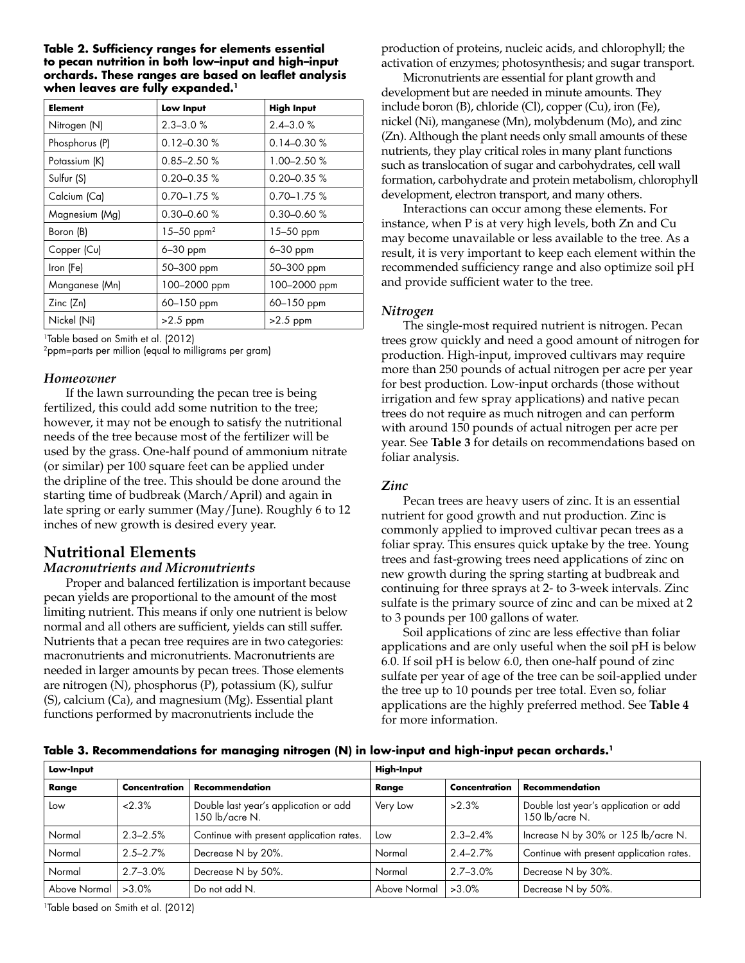#### **Table 2. Sufficiency ranges for elements essential to pecan nutrition in both low–input and high–input orchards. These ranges are based on leaflet analysis when leaves are fully expanded.1**

| <b>Element</b> | Low Input              | <b>High Input</b> |  |
|----------------|------------------------|-------------------|--|
| Nitrogen (N)   | $2.3 - 3.0 \%$         | $2.4 - 3.0 \%$    |  |
| Phosphorus (P) | $0.12 - 0.30 %$        | $0.14 - 0.30%$    |  |
| Potassium (K)  | $0.85 - 2.50%$         | 1.00–2.50 %       |  |
| Sulfur (S)     | $0.20 - 0.35 \%$       | $0.20 - 0.35 \%$  |  |
| Calcium (Ca)   | $0.70 - 1.75 \%$       | $0.70 - 1.75$ %   |  |
| Magnesium (Mg) | $0.30 - 0.60 %$        | $0.30 - 0.60$ %   |  |
| Boron (B)      | 15-50 ppm <sup>2</sup> | $15 - 50$ ppm     |  |
| Copper (Cu)    | 6-30 ppm               | 6-30 ppm          |  |
| Iron (Fe)      | 50-300 ppm             | 50-300 ppm        |  |
| Manganese (Mn) | 100-2000 ppm           | 100-2000 ppm      |  |
| Zinc(Zn)       | 60-150 ppm             | 60-150 ppm        |  |
| Nickel (Ni)    | $>2.5$ ppm             | $>2.5$ ppm        |  |

1Table based on Smith et al. (2012)

2ppm=parts per million (equal to milligrams per gram)

## *Homeowner*

If the lawn surrounding the pecan tree is being fertilized, this could add some nutrition to the tree; however, it may not be enough to satisfy the nutritional needs of the tree because most of the fertilizer will be used by the grass. One-half pound of ammonium nitrate (or similar) per 100 square feet can be applied under the dripline of the tree. This should be done around the starting time of budbreak (March/April) and again in late spring or early summer (May/June). Roughly 6 to 12 inches of new growth is desired every year.

# **Nutritional Elements**

## *Macronutrients and Micronutrients*

Proper and balanced fertilization is important because pecan yields are proportional to the amount of the most limiting nutrient. This means if only one nutrient is below normal and all others are sufficient, yields can still suffer. Nutrients that a pecan tree requires are in two categories: macronutrients and micronutrients. Macronutrients are needed in larger amounts by pecan trees. Those elements are nitrogen (N), phosphorus (P), potassium (K), sulfur (S), calcium (Ca), and magnesium (Mg). Essential plant functions performed by macronutrients include the

production of proteins, nucleic acids, and chlorophyll; the activation of enzymes; photosynthesis; and sugar transport.

Micronutrients are essential for plant growth and development but are needed in minute amounts. They include boron (B), chloride (Cl), copper (Cu), iron (Fe), nickel (Ni), manganese (Mn), molybdenum (Mo), and zinc (Zn). Although the plant needs only small amounts of these nutrients, they play critical roles in many plant functions such as translocation of sugar and carbohydrates, cell wall formation, carbohydrate and protein metabolism, chlorophyll development, electron transport, and many others.

Interactions can occur among these elements. For instance, when P is at very high levels, both Zn and Cu may become unavailable or less available to the tree. As a result, it is very important to keep each element within the recommended sufficiency range and also optimize soil pH and provide sufficient water to the tree.

## *Nitrogen*

The single-most required nutrient is nitrogen. Pecan trees grow quickly and need a good amount of nitrogen for production. High-input, improved cultivars may require more than 250 pounds of actual nitrogen per acre per year for best production. Low-input orchards (those without irrigation and few spray applications) and native pecan trees do not require as much nitrogen and can perform with around 150 pounds of actual nitrogen per acre per year. See **Table 3** for details on recommendations based on foliar analysis.

## *Zinc*

Pecan trees are heavy users of zinc. It is an essential nutrient for good growth and nut production. Zinc is commonly applied to improved cultivar pecan trees as a foliar spray. This ensures quick uptake by the tree. Young trees and fast-growing trees need applications of zinc on new growth during the spring starting at budbreak and continuing for three sprays at 2- to 3-week intervals. Zinc sulfate is the primary source of zinc and can be mixed at 2 to 3 pounds per 100 gallons of water.

Soil applications of zinc are less effective than foliar applications and are only useful when the soil pH is below 6.0. If soil pH is below 6.0, then one-half pound of zinc sulfate per year of age of the tree can be soil-applied under the tree up to 10 pounds per tree total. Even so, foliar applications are the highly preferred method. See **Table 4** for more information.

#### **Table 3. Recommendations for managing nitrogen (N) in low-input and high-input pecan orchards.1**

| Low-Input    |               | <b>High-Input</b>                                       |              |               |                                                         |
|--------------|---------------|---------------------------------------------------------|--------------|---------------|---------------------------------------------------------|
| Range        | Concentration | <b>Recommendation</b>                                   | Range        | Concentration | Recommendation                                          |
| Low          | 2.3%          | Double last year's application or add<br>150 lb/acre N. | Very Low     | $>2.3\%$      | Double last year's application or add<br>150 lb/acre N. |
| Normal       | $2.3 - 2.5%$  | Continue with present application rates.                | Low          | $2.3 - 2.4%$  | Increase N by 30% or 125 lb/acre N.                     |
| Normal       | $2.5 - 2.7%$  | Decrease N by 20%.                                      | Normal       | $2.4 - 2.7%$  | Continue with present application rates.                |
| Normal       | $2.7 - 3.0%$  | Decrease N by 50%.                                      | Normal       | $2.7 - 3.0%$  | Decrease N by 30%.                                      |
| Above Normal | $>3.0\%$      | Do not add N.                                           | Above Normal | $>3.0\%$      | Decrease N by 50%.                                      |

1Table based on Smith et al. (2012)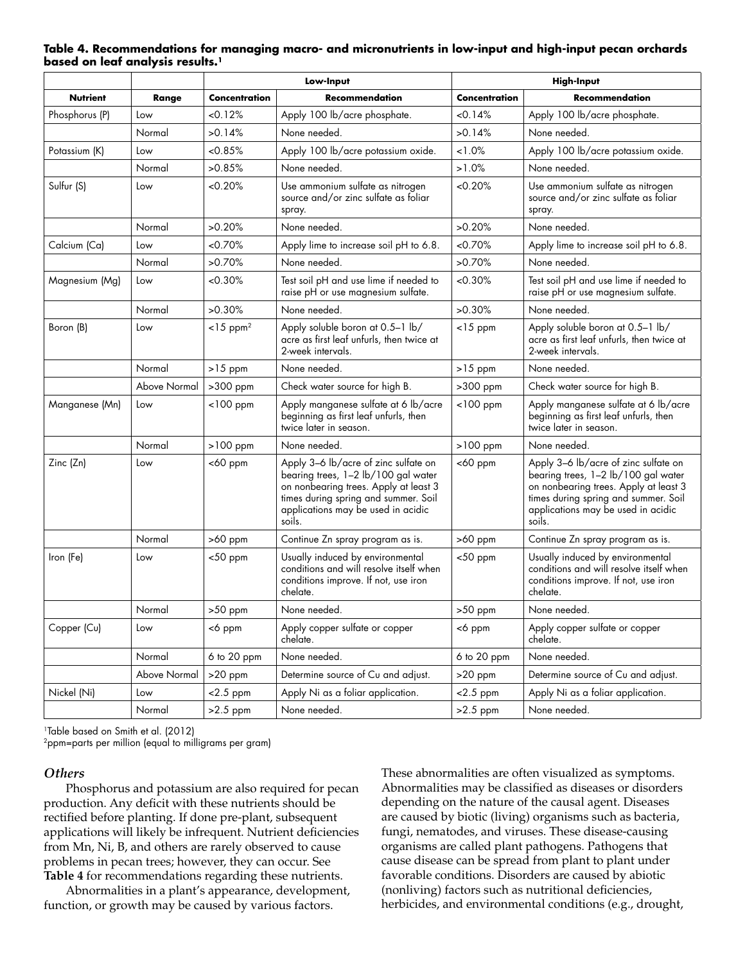|                 |              |                         | Low-Input                                                                                                                                                                                                    |                                 | <b>High-Input</b>                                                                                                                                                                                            |  |  |
|-----------------|--------------|-------------------------|--------------------------------------------------------------------------------------------------------------------------------------------------------------------------------------------------------------|---------------------------------|--------------------------------------------------------------------------------------------------------------------------------------------------------------------------------------------------------------|--|--|
| <b>Nutrient</b> | Range        | Concentration           | Recommendation                                                                                                                                                                                               | Concentration                   | Recommendation                                                                                                                                                                                               |  |  |
| Phosphorus (P)  | Low          | < 0.12%                 | Apply 100 lb/acre phosphate.                                                                                                                                                                                 | < 0.14%                         | Apply 100 lb/acre phosphate.                                                                                                                                                                                 |  |  |
|                 | Normal       | >0.14%                  | None needed.                                                                                                                                                                                                 | >0.14%                          | None needed.                                                                                                                                                                                                 |  |  |
| Potassium (K)   | Low          | < 0.85%                 | Apply 100 lb/acre potassium oxide.                                                                                                                                                                           | 1.0%                            | Apply 100 lb/acre potassium oxide.                                                                                                                                                                           |  |  |
|                 | Normal       | >0.85%                  | None needed.                                                                                                                                                                                                 | $>1.0\%$                        | None needed.                                                                                                                                                                                                 |  |  |
| Sulfur (S)      | Low          | < 0.20%                 | Use ammonium sulfate as nitrogen<br>source and/or zinc sulfate as foliar<br>spray.                                                                                                                           | <0.20%                          | Use ammonium sulfate as nitrogen<br>source and/or zinc sulfate as foliar<br>spray.                                                                                                                           |  |  |
|                 | Normal       | >0.20%                  | None needed.                                                                                                                                                                                                 | >0.20%                          | None needed.                                                                                                                                                                                                 |  |  |
| Calcium (Ca)    | Low          | <0.70%                  | Apply lime to increase soil pH to 6.8.                                                                                                                                                                       | <0.70%                          | Apply lime to increase soil pH to 6.8.                                                                                                                                                                       |  |  |
|                 | Normal       | >0.70%                  | None needed.                                                                                                                                                                                                 | >0.70%                          | None needed.                                                                                                                                                                                                 |  |  |
| Magnesium (Mg)  | Low          | <0.30%                  | Test soil pH and use lime if needed to<br>raise pH or use magnesium sulfate.                                                                                                                                 | <0.30%                          | Test soil pH and use lime if needed to<br>raise pH or use magnesium sulfate.                                                                                                                                 |  |  |
|                 | Normal       | >0.30%                  | None needed.                                                                                                                                                                                                 | >0.30%                          | None needed.                                                                                                                                                                                                 |  |  |
| Boron (B)       | Low          | $<$ 15 ppm <sup>2</sup> | Apply soluble boron at 0.5-1 lb/<br>acre as first leaf unfurls, then twice at<br>2-week intervals.                                                                                                           | $<$ 15 ppm                      | Apply soluble boron at 0.5-1 lb/<br>acre as first leaf unfurls, then twice at<br>2-week intervals.                                                                                                           |  |  |
|                 | Normal       | $>15$ ppm               | None needed.                                                                                                                                                                                                 | $>15$ ppm                       | None needed.                                                                                                                                                                                                 |  |  |
|                 | Above Normal | >300 ppm                | Check water source for high B.                                                                                                                                                                               | >300 ppm                        | Check water source for high B.                                                                                                                                                                               |  |  |
| Manganese (Mn)  | Low          | $<$ 100 ppm             | Apply manganese sulfate at 6 lb/acre<br>beginning as first leaf unfurls, then<br>twice later in season.                                                                                                      | $<$ 100 ppm                     | Apply manganese sulfate at 6 lb/acre<br>beginning as first leaf unfurls, then<br>twice later in season.                                                                                                      |  |  |
|                 | Normal       | $>100$ ppm              | None needed.                                                                                                                                                                                                 | $>100$ ppm                      | None needed.                                                                                                                                                                                                 |  |  |
| Zinc (Zn)       | Low          | $<$ 60 ppm              | Apply 3-6 lb/acre of zinc sulfate on<br>bearing trees, 1-2 lb/100 gal water<br>on nonbearing trees. Apply at least 3<br>times during spring and summer. Soil<br>applications may be used in acidic<br>soils. | <60 ppm                         | Apply 3-6 lb/acre of zinc sulfate on<br>bearing trees, 1-2 lb/100 gal water<br>on nonbearing trees. Apply at least 3<br>times during spring and summer. Soil<br>applications may be used in acidic<br>soils. |  |  |
|                 | Normal       | $>60$ ppm               | Continue Zn spray program as is.                                                                                                                                                                             | $>60$ ppm                       | Continue Zn spray program as is.                                                                                                                                                                             |  |  |
| Iron (Fe)       | Low          | $<$ 50 ppm              | Usually induced by environmental<br>conditions and will resolve itself when<br>conditions improve. If not, use iron<br>chelate.                                                                              | $<$ 50 ppm                      | Usually induced by environmental<br>conditions and will resolve itself when<br>conditions improve. If not, use iron<br>chelate.                                                                              |  |  |
|                 | Normal       | $>50$ ppm               | None needed.                                                                                                                                                                                                 | $>50~\ensuremath{\mathsf{ppm}}$ | None needed.                                                                                                                                                                                                 |  |  |
| Copper (Cu)     | Low          | <6 ppm                  | Apply copper sulfate or copper<br>chelate.                                                                                                                                                                   | <6 ppm                          | Apply copper sulfate or copper<br>chelate.                                                                                                                                                                   |  |  |
|                 | Normal       | 6 to 20 ppm             | None needed.                                                                                                                                                                                                 | 6 to 20 ppm                     | None needed.                                                                                                                                                                                                 |  |  |
|                 | Above Normal | $>20$ ppm               | Determine source of Cu and adjust.                                                                                                                                                                           | $>20$ ppm                       | Determine source of Cu and adjust.                                                                                                                                                                           |  |  |
| Nickel (Ni)     | Low          | $<$ 2.5 ppm             | Apply Ni as a foliar application.                                                                                                                                                                            | $<$ 2.5 ppm                     | Apply Ni as a foliar application.                                                                                                                                                                            |  |  |
|                 | Normal       | $>2.5$ ppm              | None needed.                                                                                                                                                                                                 | $>2.5$ ppm                      | None needed.                                                                                                                                                                                                 |  |  |

#### **Table 4. Recommendations for managing macro- and micronutrients in low-input and high-input pecan orchards based on leaf analysis results.1**

1Table based on Smith et al. (2012)

2ppm=parts per million (equal to milligrams per gram)

#### *Others*

Phosphorus and potassium are also required for pecan production. Any deficit with these nutrients should be rectified before planting. If done pre-plant, subsequent applications will likely be infrequent. Nutrient deficiencies from Mn, Ni, B, and others are rarely observed to cause problems in pecan trees; however, they can occur. See **Table 4** for recommendations regarding these nutrients.

Abnormalities in a plant's appearance, development, function, or growth may be caused by various factors.

These abnormalities are often visualized as symptoms. Abnormalities may be classified as diseases or disorders depending on the nature of the causal agent. Diseases are caused by biotic (living) organisms such as bacteria, fungi, nematodes, and viruses. These disease-causing organisms are called plant pathogens. Pathogens that cause disease can be spread from plant to plant under favorable conditions. Disorders are caused by abiotic (nonliving) factors such as nutritional deficiencies, herbicides, and environmental conditions (e.g., drought,